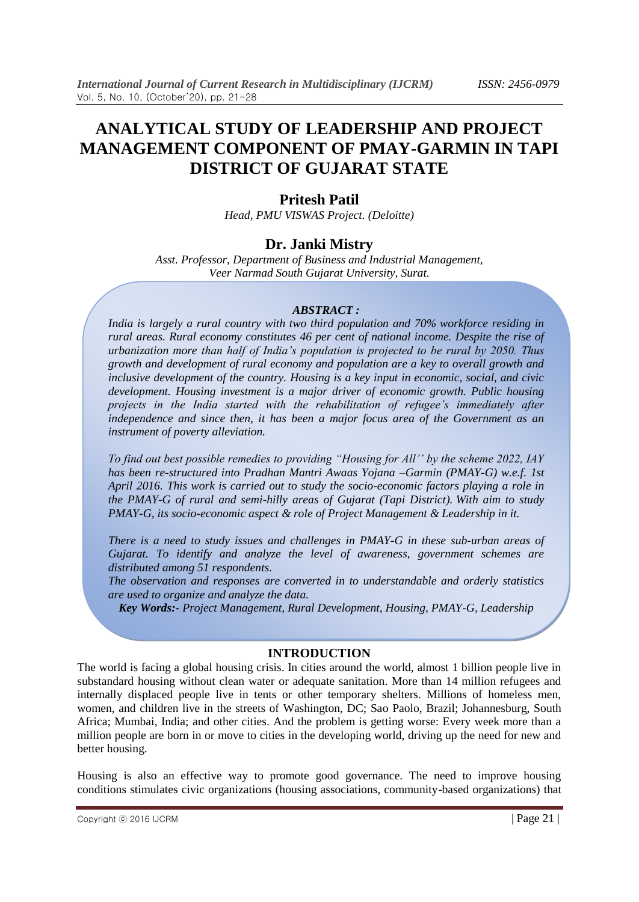# **ANALYTICAL STUDY OF LEADERSHIP AND PROJECT MANAGEMENT COMPONENT OF PMAY-GARMIN IN TAPI DISTRICT OF GUJARAT STATE**

## **Pritesh Patil**

*Head, PMU VISWAS Project. (Deloitte)*

### **Dr. Janki Mistry**

*Asst. Professor, Department of Business and Industrial Management, Veer Narmad South Gujarat University, Surat.*

#### *ABSTRACT :*

*India is largely a rural country with two third population and 70% workforce residing in rural areas. Rural economy constitutes 46 per cent of national income. Despite the rise of urbanization more than half of India's population is projected to be rural by 2050. Thus growth and development of rural economy and population are a key to overall growth and inclusive development of the country. Housing is a key input in economic, social, and civic development. Housing investment is a major driver of economic growth. Public housing projects in the India started with the rehabilitation of refugee's immediately after independence and since then, it has been a major focus area of the Government as an instrument of poverty alleviation.*

*To find out best possible remedies to providing "Housing for All'' by the scheme 2022, IAY has been re-structured into Pradhan Mantri Awaas Yojana –Garmin (PMAY-G) w.e.f. 1st April 2016. This work is carried out to study the socio-economic factors playing a role in the PMAY-G of rural and semi-hilly areas of Gujarat (Tapi District). With aim to study PMAY-G, its socio-economic aspect & role of Project Management & Leadership in it.*

*There is a need to study issues and challenges in PMAY-G in these sub-urban areas of Gujarat. To identify and analyze the level of awareness, government schemes are distributed among 51 respondents.*

*The observation and responses are converted in to understandable and orderly statistics are used to organize and analyze the data.*

*Key Words:- Project Management, Rural Development, Housing, PMAY-G, Leadership*

#### **INTRODUCTION**

The world is facing a global housing crisis. In cities around the world, almost 1 billion people live in substandard housing without clean water or adequate sanitation. More than 14 million refugees and internally displaced people live in tents or other temporary shelters. Millions of homeless men, women, and children live in the streets of Washington, DC; Sao Paolo, Brazil; Johannesburg, South Africa; Mumbai, India; and other cities. And the problem is getting worse: Every week more than a million people are born in or move to cities in the developing world, driving up the need for new and better housing.

Housing is also an effective way to promote good governance. The need to improve housing conditions stimulates civic organizations (housing associations, community-based organizations) that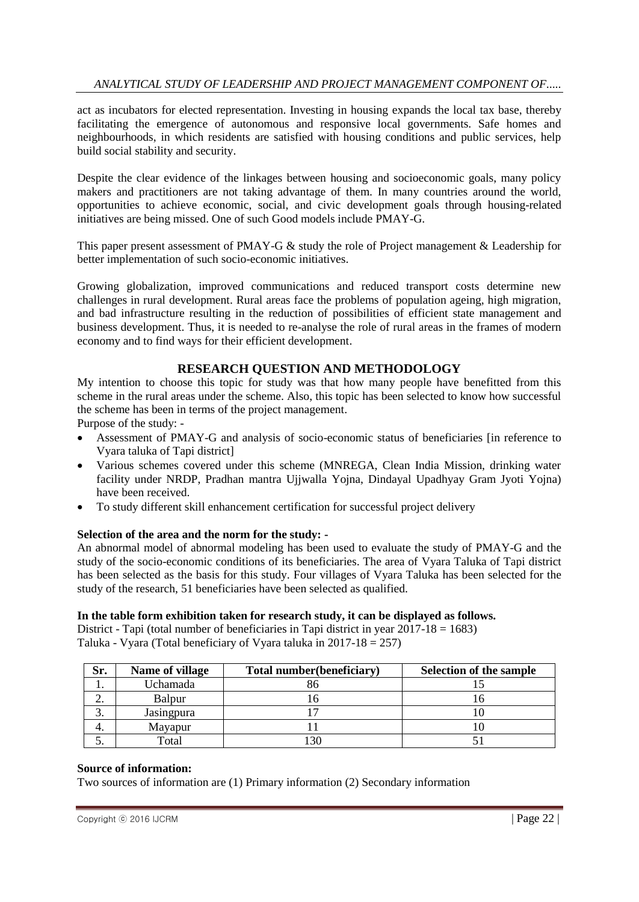act as incubators for elected representation. Investing in housing expands the local tax base, thereby facilitating the emergence of autonomous and responsive local governments. Safe homes and neighbourhoods, in which residents are satisfied with housing conditions and public services, help build social stability and security.

Despite the clear evidence of the linkages between housing and socioeconomic goals, many policy makers and practitioners are not taking advantage of them. In many countries around the world, opportunities to achieve economic, social, and civic development goals through housing-related initiatives are being missed. One of such Good models include PMAY-G.

This paper present assessment of PMAY-G & study the role of Project management & Leadership for better implementation of such socio-economic initiatives.

Growing globalization, improved communications and reduced transport costs determine new challenges in rural development. Rural areas face the problems of population ageing, high migration, and bad infrastructure resulting in the reduction of possibilities of efficient state management and business development. Thus, it is needed to re-analyse the role of rural areas in the frames of modern economy and to find ways for their efficient development.

### **RESEARCH QUESTION AND METHODOLOGY**

My intention to choose this topic for study was that how many people have benefitted from this scheme in the rural areas under the scheme. Also, this topic has been selected to know how successful the scheme has been in terms of the project management.

Purpose of the study: -

- Assessment of PMAY-G and analysis of socio-economic status of beneficiaries [in reference to Vyara taluka of Tapi district]
- Various schemes covered under this scheme (MNREGA, Clean India Mission, drinking water facility under NRDP, Pradhan mantra Ujjwalla Yojna, Dindayal Upadhyay Gram Jyoti Yojna) have been received.
- To study different skill enhancement certification for successful project delivery

#### **Selection of the area and the norm for the study: -**

An abnormal model of abnormal modeling has been used to evaluate the study of PMAY-G and the study of the socio-economic conditions of its beneficiaries. The area of Vyara Taluka of Tapi district has been selected as the basis for this study. Four villages of Vyara Taluka has been selected for the study of the research, 51 beneficiaries have been selected as qualified.

#### **In the table form exhibition taken for research study, it can be displayed as follows.**

District - Tapi (total number of beneficiaries in Tapi district in year  $2017-18 = 1683$ ) Taluka - Vyara (Total beneficiary of Vyara taluka in 2017-18 = 257)

| Sr. | Name of village        | Total number (beneficiary) | <b>Selection of the sample</b> |
|-----|------------------------|----------------------------|--------------------------------|
| . . | Uchamada               | 86                         |                                |
| ۷.  | Balpur                 |                            |                                |
| J.  | Jasingpura             |                            |                                |
|     | Mayapur                |                            |                                |
|     | $\tau$ <sub>otal</sub> | 30                         |                                |

#### **Source of information:**

Two sources of information are (1) Primary information (2) Secondary information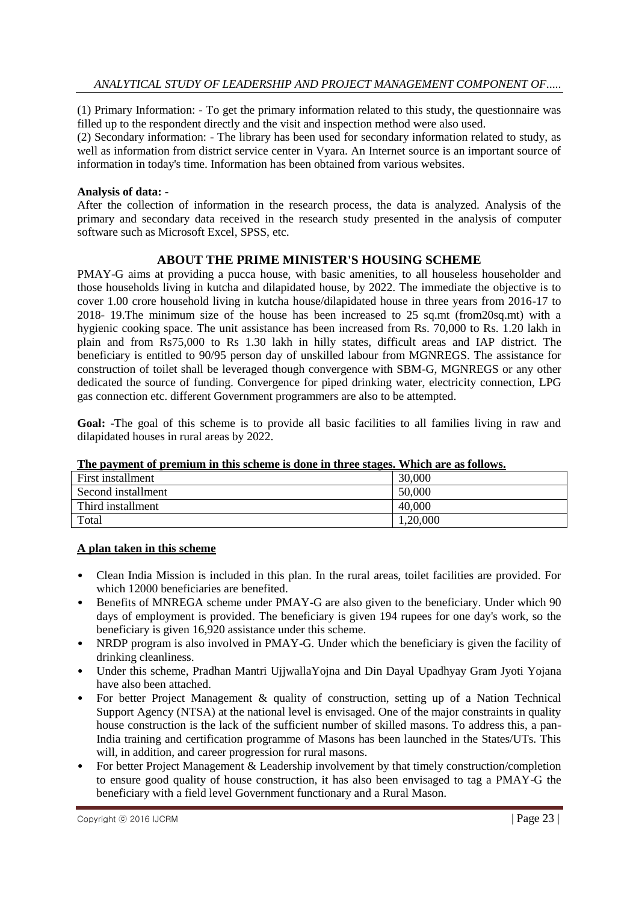(1) Primary Information: - To get the primary information related to this study, the questionnaire was filled up to the respondent directly and the visit and inspection method were also used.

(2) Secondary information: - The library has been used for secondary information related to study, as well as information from district service center in Vyara. An Internet source is an important source of information in today's time. Information has been obtained from various websites.

#### **Analysis of data: -**

After the collection of information in the research process, the data is analyzed. Analysis of the primary and secondary data received in the research study presented in the analysis of computer software such as Microsoft Excel, SPSS, etc.

#### **ABOUT THE PRIME MINISTER'S HOUSING SCHEME**

PMAY-G aims at providing a pucca house, with basic amenities, to all houseless householder and those households living in kutcha and dilapidated house, by 2022. The immediate the objective is to cover 1.00 crore household living in kutcha house/dilapidated house in three years from 2016-17 to 2018- 19.The minimum size of the house has been increased to 25 sq.mt (from20sq.mt) with a hygienic cooking space. The unit assistance has been increased from Rs. 70,000 to Rs. 1.20 lakh in plain and from Rs75,000 to Rs 1.30 lakh in hilly states, difficult areas and IAP district. The beneficiary is entitled to 90/95 person day of unskilled labour from MGNREGS. The assistance for construction of toilet shall be leveraged though convergence with SBM-G, MGNREGS or any other dedicated the source of funding. Convergence for piped drinking water, electricity connection, LPG gas connection etc. different Government programmers are also to be attempted.

Goal: -The goal of this scheme is to provide all basic facilities to all families living in raw and dilapidated houses in rural areas by 2022.

| First installment  | 30,000   |
|--------------------|----------|
| Second installment | 50,000   |
| Third installment  | 40,000   |
| Total              | 1,20,000 |

#### **The payment of premium in this scheme is done in three stages. Which are as follows.**

#### **A plan taken in this scheme**

- Clean India Mission is included in this plan. In the rural areas, toilet facilities are provided. For which 12000 beneficiaries are benefited.
- Benefits of MNREGA scheme under PMAY-G are also given to the beneficiary. Under which 90 days of employment is provided. The beneficiary is given 194 rupees for one day's work, so the beneficiary is given 16,920 assistance under this scheme.
- NRDP program is also involved in PMAY-G. Under which the beneficiary is given the facility of drinking cleanliness.
- Under this scheme, Pradhan Mantri UjjwallaYojna and Din Dayal Upadhyay Gram Jyoti Yojana have also been attached.
- For better Project Management & quality of construction, setting up of a Nation Technical Support Agency (NTSA) at the national level is envisaged. One of the major constraints in quality house construction is the lack of the sufficient number of skilled masons. To address this, a pan-India training and certification programme of Masons has been launched in the States/UTs. This will, in addition, and career progression for rural masons.
- For better Project Management & Leadership involvement by that timely construction/completion to ensure good quality of house construction, it has also been envisaged to tag a PMAY-G the beneficiary with a field level Government functionary and a Rural Mason.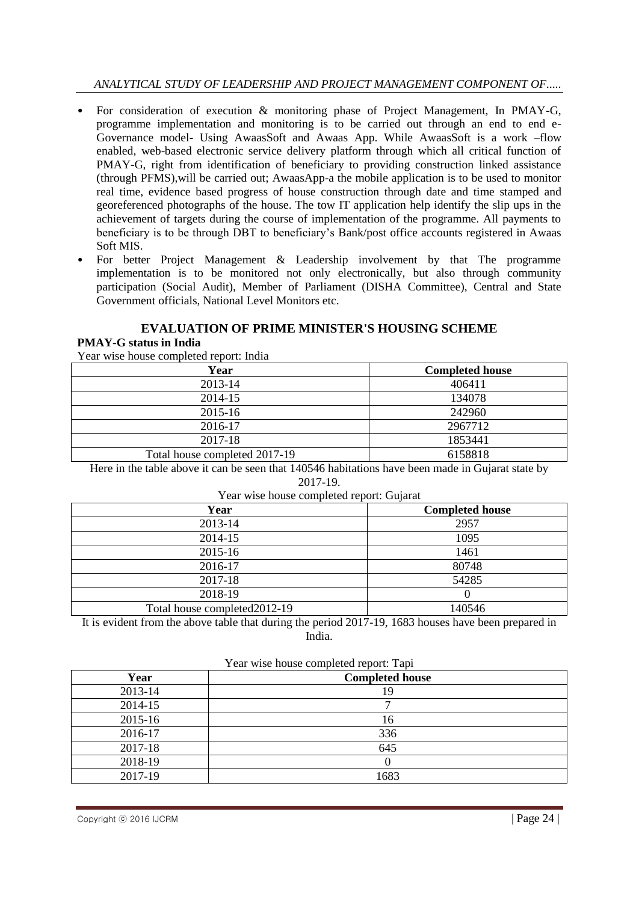### *ANALYTICAL STUDY OF LEADERSHIP AND PROJECT MANAGEMENT COMPONENT OF.....*

- For consideration of execution & monitoring phase of Project Management, In PMAY-G, programme implementation and monitoring is to be carried out through an end to end e-Governance model- Using AwaasSoft and Awaas App. While AwaasSoft is a work –flow enabled, web-based electronic service delivery platform through which all critical function of PMAY-G, right from identification of beneficiary to providing construction linked assistance (through PFMS),will be carried out; AwaasApp-a the mobile application is to be used to monitor real time, evidence based progress of house construction through date and time stamped and georeferenced photographs of the house. The tow IT application help identify the slip ups in the achievement of targets during the course of implementation of the programme. All payments to beneficiary is to be through DBT to beneficiary's Bank/post office accounts registered in Awaas Soft MIS.
- For better Project Management & Leadership involvement by that The programme implementation is to be monitored not only electronically, but also through community participation (Social Audit), Member of Parliament (DISHA Committee), Central and State Government officials, National Level Monitors etc.

### **EVALUATION OF PRIME MINISTER'S HOUSING SCHEME**

#### **PMAY-G status in India**

Year wise house completed report: India

| Year                          | <b>Completed house</b> |
|-------------------------------|------------------------|
| 2013-14                       | 406411                 |
| 2014-15                       | 134078                 |
| 2015-16                       | 242960                 |
| 2016-17                       | 2967712                |
| 2017-18                       | 1853441                |
| Total house completed 2017-19 | 6158818                |

Here in the table above it can be seen that 140546 habitations have been made in Gujarat state by 2017-19.

| Year wise house completed report: Gujarat |                        |
|-------------------------------------------|------------------------|
| Year                                      | <b>Completed house</b> |
| 2013-14                                   | 2957                   |
| 2014-15                                   | 1095                   |
| 2015-16                                   | 1461                   |
| 2016-17                                   | 80748                  |
| 2017-18                                   | 54285                  |
| 2018-19                                   |                        |
| Total house completed 2012-19             | 140546                 |

It is evident from the above table that during the period 2017-19, 1683 houses have been prepared in India.

|         | Year wise house completed report: Tapi |  |  |  |  |  |
|---------|----------------------------------------|--|--|--|--|--|
| Year    | <b>Completed house</b>                 |  |  |  |  |  |
| 2013-14 | 19                                     |  |  |  |  |  |
| 2014-15 |                                        |  |  |  |  |  |
| 2015-16 | 16                                     |  |  |  |  |  |
| 2016-17 | 336                                    |  |  |  |  |  |
| 2017-18 | 645                                    |  |  |  |  |  |
| 2018-19 |                                        |  |  |  |  |  |
| 2017-19 | 1683                                   |  |  |  |  |  |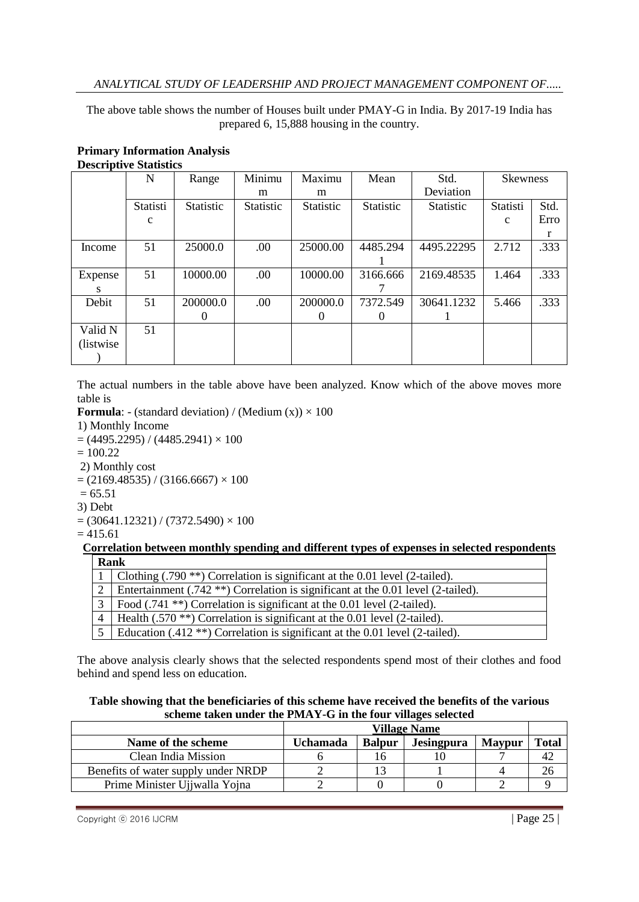The above table shows the number of Houses built under PMAY-G in India. By 2017-19 India has prepared 6, 15,888 housing in the country.

|            | $\mathbf N$ | Range     | Minimu    | Maximu    | Mean      | Std.             | <b>Skewness</b> |      |
|------------|-------------|-----------|-----------|-----------|-----------|------------------|-----------------|------|
|            |             |           | m         | m         |           | Deviation        |                 |      |
|            | Statisti    | Statistic | Statistic | Statistic | Statistic | <b>Statistic</b> | Statisti        | Std. |
|            | $\mathbf c$ |           |           |           |           |                  | $\mathbf{c}$    | Erro |
|            |             |           |           |           |           |                  |                 |      |
| Income     | 51          | 25000.0   | .00       | 25000.00  | 4485.294  | 4495.22295       | 2.712           | .333 |
|            |             |           |           |           |           |                  |                 |      |
| Expense    | 51          | 10000.00  | .00.      | 10000.00  | 3166.666  | 2169.48535       | 1.464           | .333 |
| S          |             |           |           |           |           |                  |                 |      |
| Debit      | 51          | 200000.0  | .00       | 200000.0  | 7372.549  | 30641.1232       | 5.466           | .333 |
|            |             | 0         |           | 0         | $\theta$  |                  |                 |      |
| Valid N    | 51          |           |           |           |           |                  |                 |      |
| (listwise) |             |           |           |           |           |                  |                 |      |
|            |             |           |           |           |           |                  |                 |      |

#### **Primary Information Analysis Descriptive Statistics**

The actual numbers in the table above have been analyzed. Know which of the above moves more table is

**Formula**: - (standard deviation) / (Medium  $(x)$ )  $\times$  100

- 1) Monthly Income
- $=(4495.2295)/(4485.2941)\times 100$
- $= 100.22$
- 2) Monthly cost
- $= (2169.48535) / (3166.6667) \times 100$
- $= 65.51$
- 3) Debt

```
= (30641.12321) / (7372.5490) \times 100
```

```
= 415.61
```
#### **Correlation between monthly spending and different types of expenses in selected respondents Rank**

| Clothing $(.790 **)$ Correlation is significant at the 0.01 level (2-tailed).         |
|---------------------------------------------------------------------------------------|
| Entertainment (.742 **) Correlation is significant at the 0.01 level (2-tailed).      |
| Food (.741 **) Correlation is significant at the 0.01 level (2-tailed).               |
| Health (.570 <sup>**</sup> ) Correlation is significant at the 0.01 level (2-tailed). |
| Education $(.412**)$ Correlation is significant at the 0.01 level (2-tailed).         |

The above analysis clearly shows that the selected respondents spend most of their clothes and food behind and spend less on education.

| Table showing that the beneficiaries of this scheme have received the benefits of the various |
|-----------------------------------------------------------------------------------------------|
| scheme taken under the PMAY-G in the four villages selected                                   |

|                                     | <b>Village Name</b> |               |            |               |              |
|-------------------------------------|---------------------|---------------|------------|---------------|--------------|
| Name of the scheme                  | Uchamada            | <b>Balpur</b> | Jesingpura | <b>Maypur</b> | <b>Total</b> |
| Clean India Mission                 |                     |               |            |               | 42           |
| Benefits of water supply under NRDP |                     |               |            |               | 26           |
| Prime Minister Ujjwalla Yojna       |                     |               |            |               |              |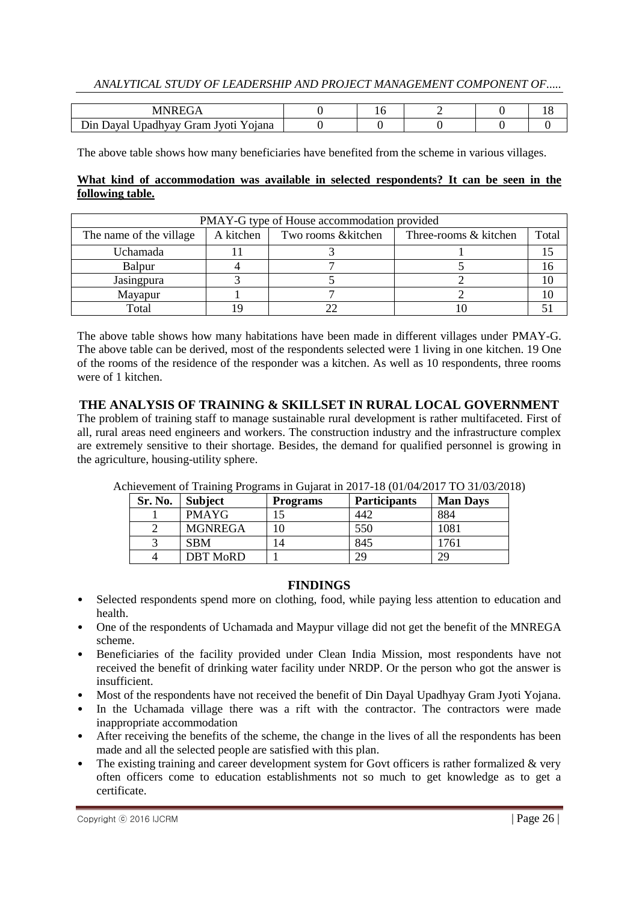#### *ANALYTICAL STUDY OF LEADERSHIP AND PROJECT MANAGEMENT COMPONENT OF.....*

| Din Dayal Upadhyay Gram Jyoti Yojana |  |  |  |
|--------------------------------------|--|--|--|

The above table shows how many beneficiaries have benefited from the scheme in various villages.

#### **What kind of accommodation was available in selected respondents? It can be seen in the following table.**

| PMAY-G type of House accommodation provided |           |                    |                       |       |  |  |
|---------------------------------------------|-----------|--------------------|-----------------------|-------|--|--|
| The name of the village                     | A kitchen | Two rooms &kitchen | Three-rooms & kitchen | Total |  |  |
| Uchamada                                    |           |                    |                       |       |  |  |
| Balpur                                      |           |                    |                       |       |  |  |
| Jasingpura                                  |           |                    |                       |       |  |  |
| Mayapur                                     |           |                    |                       |       |  |  |
| Total                                       |           |                    |                       |       |  |  |

The above table shows how many habitations have been made in different villages under PMAY-G. The above table can be derived, most of the respondents selected were 1 living in one kitchen. 19 One of the rooms of the residence of the responder was a kitchen. As well as 10 respondents, three rooms were of 1 kitchen.

### **THE ANALYSIS OF TRAINING & SKILLSET IN RURAL LOCAL GOVERNMENT**

The problem of training staff to manage sustainable rural development is rather multifaceted. First of all, rural areas need engineers and workers. The construction industry and the infrastructure complex are extremely sensitive to their shortage. Besides, the demand for qualified personnel is growing in the agriculture, housing-utility sphere.

| Sr. No. | <b>Subject</b>  | Programs       | <b>Participants</b> | <b>Man Days</b> |
|---------|-----------------|----------------|---------------------|-----------------|
|         | <b>PMAYG</b>    |                | 442                 | 884             |
|         | <b>MGNREGA</b>  | 10             | 550                 | 1081            |
|         | <b>SBM</b>      | $\overline{4}$ | 845                 | 1761            |
|         | <b>DBT MoRD</b> |                | 29                  | 29              |

Achievement of Training Programs in Gujarat in 2017-18 (01/04/2017 TO 31/03/2018)

#### **FINDINGS**

- Selected respondents spend more on clothing, food, while paying less attention to education and health.
- One of the respondents of Uchamada and Maypur village did not get the benefit of the MNREGA scheme.
- Beneficiaries of the facility provided under Clean India Mission, most respondents have not received the benefit of drinking water facility under NRDP. Or the person who got the answer is insufficient.
- Most of the respondents have not received the benefit of Din Dayal Upadhyay Gram Jyoti Yojana.
- In the Uchamada village there was a rift with the contractor. The contractors were made inappropriate accommodation
- After receiving the benefits of the scheme, the change in the lives of all the respondents has been made and all the selected people are satisfied with this plan.
- The existing training and career development system for Govt officers is rather formalized  $\&$  very often officers come to education establishments not so much to get knowledge as to get a certificate.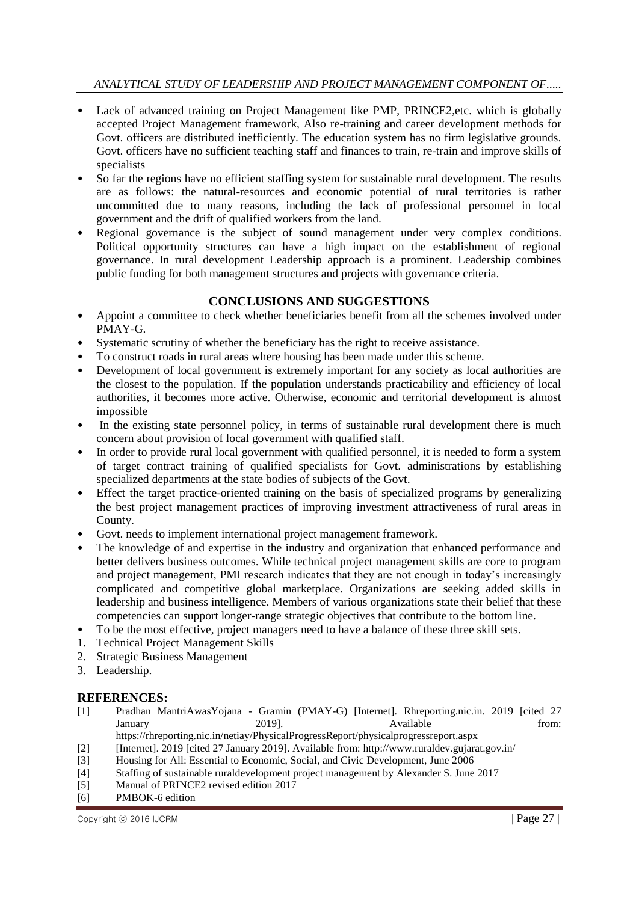- Lack of advanced training on Project Management like PMP, PRINCE2, etc. which is globally accepted Project Management framework, Also re-training and career development methods for Govt. officers are distributed inefficiently. The education system has no firm legislative grounds. Govt. officers have no sufficient teaching staff and finances to train, re-train and improve skills of specialists
- So far the regions have no efficient staffing system for sustainable rural development. The results are as follows: the natural-resources and economic potential of rural territories is rather uncommitted due to many reasons, including the lack of professional personnel in local government and the drift of qualified workers from the land.
- Regional governance is the subject of sound management under very complex conditions. Political opportunity structures can have a high impact on the establishment of regional governance. In rural development Leadership approach is a prominent. Leadership combines public funding for both management structures and projects with governance criteria.

### **CONCLUSIONS AND SUGGESTIONS**

- Appoint a committee to check whether beneficiaries benefit from all the schemes involved under PMAY-G.
- Systematic scrutiny of whether the beneficiary has the right to receive assistance.
- To construct roads in rural areas where housing has been made under this scheme.
- Development of local government is extremely important for any society as local authorities are the closest to the population. If the population understands practicability and efficiency of local authorities, it becomes more active. Otherwise, economic and territorial development is almost impossible
- In the existing state personnel policy, in terms of sustainable rural development there is much concern about provision of local government with qualified staff.
- In order to provide rural local government with qualified personnel, it is needed to form a system of target contract training of qualified specialists for Govt. administrations by establishing specialized departments at the state bodies of subjects of the Govt.
- Effect the target practice-oriented training on the basis of specialized programs by generalizing the best project management practices of improving investment attractiveness of rural areas in County.
- Govt. needs to implement international project management framework.
- The knowledge of and expertise in the industry and organization that enhanced performance and better delivers business outcomes. While technical project management skills are core to program and project management, PMI research indicates that they are not enough in today's increasingly complicated and competitive global marketplace. Organizations are seeking added skills in leadership and business intelligence. Members of various organizations state their belief that these competencies can support longer-range strategic objectives that contribute to the bottom line.
- To be the most effective, project managers need to have a balance of these three skill sets.
- 1. Technical Project Management Skills
- 2. Strategic Business Management
- 3. Leadership.

#### **REFERENCES:**

- [1] Pradhan MantriAwasYojana Gramin (PMAY-G) [Internet]. Rhreporting.nic.in. 2019 [cited 27 January 2019]. Available from:
- <https://rhreporting.nic.in/netiay/PhysicalProgressReport/physicalprogressreport.aspx>
- [2] [Internet]. 2019 [cited 27 January 2019]. Available from: http://www.ruraldev.gujarat.gov.in/
- [3] Housing for All: Essential to Economic, Social, and Civic Development, June 2006
- [4] Staffing of sustainable ruraldevelopment project management by Alexander S. June 2017
- [5] Manual of PRINCE2 revised edition 2017
- [6] PMBOK-6 edition